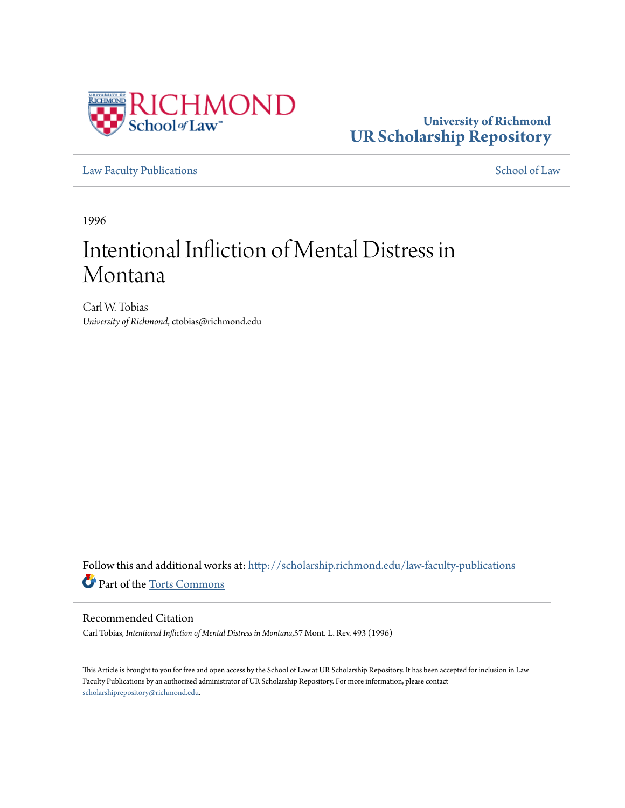

# **University of Richmond [UR Scholarship Repository](http://scholarship.richmond.edu?utm_source=scholarship.richmond.edu%2Flaw-faculty-publications%2F695&utm_medium=PDF&utm_campaign=PDFCoverPages)**

[Law Faculty Publications](http://scholarship.richmond.edu/law-faculty-publications?utm_source=scholarship.richmond.edu%2Flaw-faculty-publications%2F695&utm_medium=PDF&utm_campaign=PDFCoverPages) [School of Law](http://scholarship.richmond.edu/law?utm_source=scholarship.richmond.edu%2Flaw-faculty-publications%2F695&utm_medium=PDF&utm_campaign=PDFCoverPages)

1996

# Intentional Infliction of Mental Distress in Montana

Carl W. Tobias *University of Richmond*, ctobias@richmond.edu

Follow this and additional works at: [http://scholarship.richmond.edu/law-faculty-publications](http://scholarship.richmond.edu/law-faculty-publications?utm_source=scholarship.richmond.edu%2Flaw-faculty-publications%2F695&utm_medium=PDF&utm_campaign=PDFCoverPages) Part of the [Torts Commons](http://network.bepress.com/hgg/discipline/913?utm_source=scholarship.richmond.edu%2Flaw-faculty-publications%2F695&utm_medium=PDF&utm_campaign=PDFCoverPages)

# Recommended Citation

Carl Tobias, *Intentional Infliction of Mental Distress in Montana,*57 Mont. L. Rev. 493 (1996)

This Article is brought to you for free and open access by the School of Law at UR Scholarship Repository. It has been accepted for inclusion in Law Faculty Publications by an authorized administrator of UR Scholarship Repository. For more information, please contact [scholarshiprepository@richmond.edu.](mailto:scholarshiprepository@richmond.edu)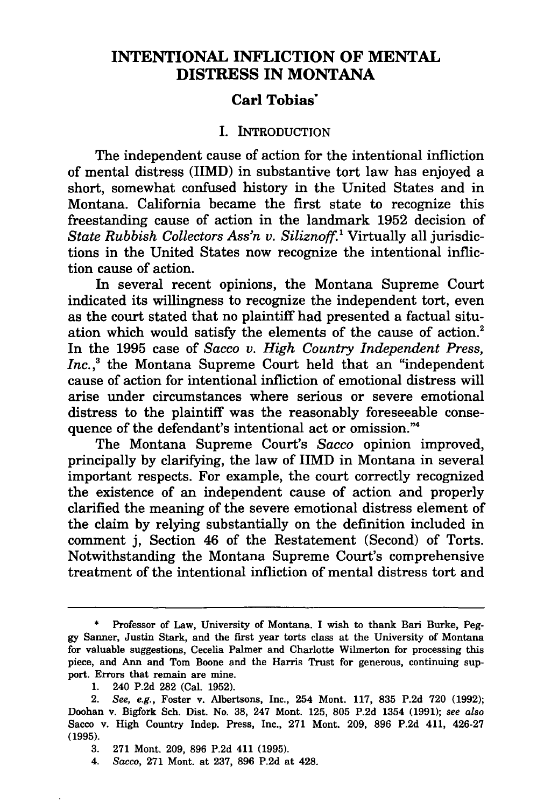# **INTENTIONAL INFLICTION OF MENTAL DISTRESS IN MONTANA**

# **Carl Tobias·**

#### I. INTRODUCTION

The independent cause of action for the intentional infliction of mental distress (IIMD) in substantive tort law has enjoyed a short, somewhat confused history in the United States and in Montana. California became the first state to recognize this freestanding cause of action in the landmark 1952 decision of *State Rubbish Collectors Ass'n v. Siliznoff.* 1 Virtually all jurisdictions in the United States now recognize the intentional infliction cause of action.

In several recent opinions, the Montana Supreme Court indicated its willingness to recognize the independent tort, even as the court stated that no plaintiff had presented a factual situation which would satisfy the elements of the cause of action.<sup>2</sup> In the 1995 case of *Sacco v. High Country Independent Press, Inc., <sup>3</sup>*the Montana Supreme Court held that an "independent cause of action for intentional infliction of emotional distress will arise under circumstances where serious or severe emotional distress to the plaintiff was the reasonably foreseeable consequence of the defendant's intentional act or omission."<sup>4</sup>

The Montana Supreme Court's *Sacco* opinion improved, principally by clarifying, the law of IIMD in Montana in several important respects. For example, the court correctly recognized the existence of an independent cause of action and properly clarified the meaning of the severe emotional distress element of the claim by relying substantially on the definition included in comment j, Section 46 of the Restatement (Second) of Torts. Notwithstanding the Montana Supreme Court's comprehensive treatment of the intentional infliction of mental distress tort and

4. *Sacco,* 271 Mont. at 237, 896 P.2d at 428.

Professor of Law, University of Montana. I wish to thank Bari Burke, Peggy Sanner, Justin Stark, and the first year torts class at the University of Montana for valuable suggestions, Cecelia Palmer and Charlotte Wilmerton for processing this piece, and Ann and Tom Boone and the Harris Trust for generous, continuing support. Errors that remain are mine.

<sup>1. 240</sup> P.2d 282 (Cal. 1952).

<sup>2.</sup> *See, e.g.,* Foster v. Albertsons, Inc., 254 Mont. 117, 835 P.2d 720 (1992); Doohan v. Bigfork Sch. Dist. No. 38, 247 Mont. 125, 805 P.2d 1354 (1991); *see also*  Sacco v. High Country Indep. Press, Inc., 271 Mont. 209, 896 P.2d 411, 426-27 (1995).

<sup>3. 271</sup> Mont. 209, 896 P.2d 411 (1995).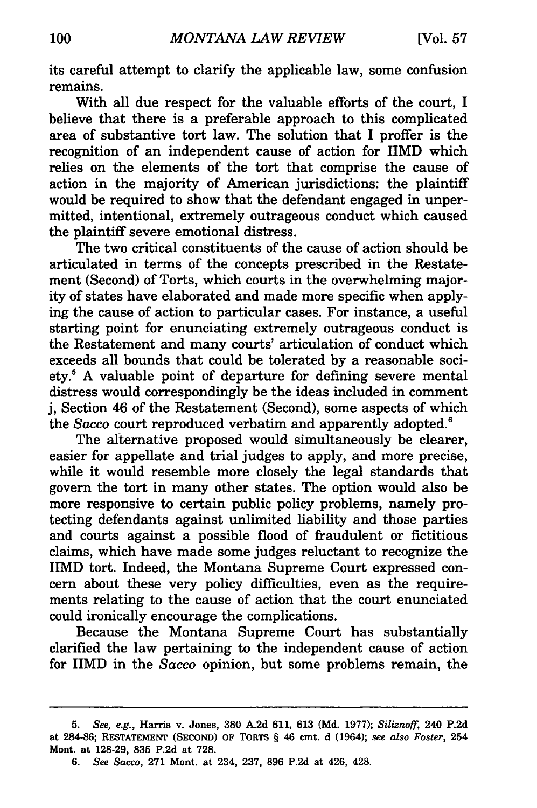its careful attempt to clarify the applicable law, some confusion remains.

With all due respect for the valuable efforts of the court, I believe that there is a preferable approach to this complicated area of substantive tort law. The solution that I proffer is the recognition of an independent cause of action for IIMD which relies on the elements of the tort that comprise the cause of action in the majority of American jurisdictions: the plaintiff would be required to show that the defendant engaged in unpermitted, intentional, extremely outrageous conduct which caused the plaintiff severe emotional distress.

The two critical constituents of the cause of action should be articulated in terms of the concepts prescribed in the Restatement (Second) of Torts, which courts in the overwhelming majority of states have elaborated and made more specific when applying the cause of action to particular cases. For instance, a useful starting point for enunciating extremely outrageous conduct is the Restatement and many courts' articulation of conduct which exceeds all bounds that could be tolerated by a reasonable society.5 A valuable point of departure for defining severe mental distress would correspondingly be the ideas included in comment j, Section 46 of the Restatement (Second), some aspects of which the *Sacco* court reproduced verbatim and apparently adopted.<sup>6</sup>

The alternative proposed would simultaneously be clearer, easier for appellate and trial judges to apply, and more precise, while it would resemble more closely the legal standards that govern the tort in many other states. The option would also be more responsive to certain public policy problems, namely protecting defendants against unlimited liability and those parties and courts against a possible flood of fraudulent or fictitious claims, which have made some judges reluctant to recognize the IIMD tort. Indeed, the Montana Supreme Court expressed concern about these very policy difficulties, even as the requirements relating to the cause of action that the court enunciated could ironically encourage the complications.

Because the Montana Supreme Court has substantially clarified the law pertaining to the independent cause of action for IIMD in the *Sacco* opinion, but some problems remain, the

<sup>5.</sup> See, *e.g.,* Harris v. Jones, 380 A2d 611, 613 (Md. 1977); *Siliznoff,* 240 P.2d at 284-86; RESTATEMENT (SECOND) OF TORTS § 46 cmt. d (1964); *see also Foster,* 254 Mont. at 128-29, 835 P.2d at 728.

<sup>6.</sup> See *Sacco,* 271 Mont. at 234, 237, 896 P.2d at 426, 428.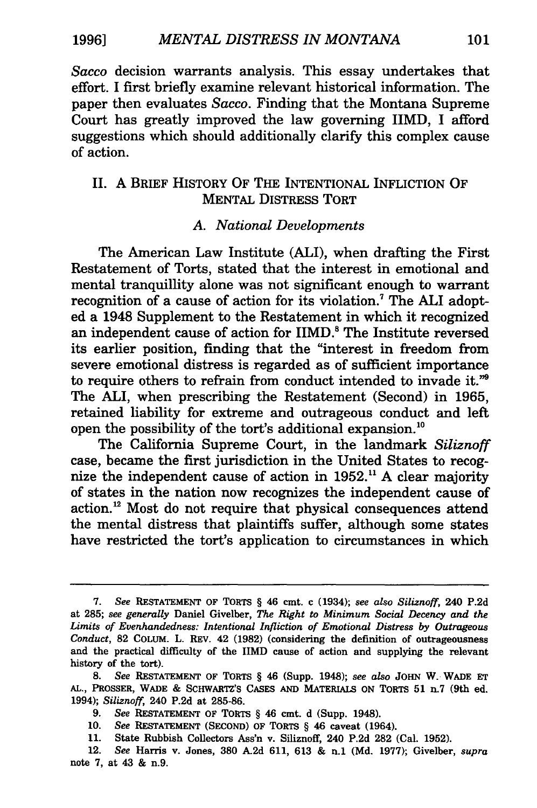1996] *MENTAL DISTRESS IN MONTANA* 101

*Sacco* decision warrants analysis. This essay undertakes that effort. I first briefly examine relevant historical information. The paper then evaluates *Sacco.* Finding that the Montana Supreme Court has greatly improved the law governing IIMD, I afford suggestions which should additionally clarify this complex cause of action.

## II. A BRIEF HISTORY OF THE INTENTIONAL INFLICTION OF MENTAL DISTRESS TORT

#### A. *National Developments*

The American Law Institute (ALI), when drafting the First Restatement of Torts, stated that the interest in emotional and mental tranquillity alone was not significant enough to warrant recognition of a cause of action for its violation.<sup>7</sup> The ALI adopted a 1948 Supplement to the Restatement in which it recognized an independent cause of action for IIMD.<sup>8</sup> The Institute reversed its earlier position, finding that the "interest in freedom from severe emotional distress is regarded as of sufficient importance to require others to refrain from conduct intended to invade it."<sup>9</sup> The ALI, when prescribing the Restatement (Second) in 1965, retained liability for extreme and outrageous conduct and left open the possibility of the tort's additional expansion. <sup>10</sup>

The California Supreme Court, in the landmark *Siliznoff*  case, became the first jurisdiction in the United States to recognize the independent cause of action in 1952.<sup>11</sup> A clear majority of states in the nation now recognizes the independent cause of action. 12 Most do not require that physical consequences attend the mental distress that plaintiffs suffer, although some states have restricted the tort's application to circumstances in which

- 9. *See* RESTATEMENT OF TORTS § 46 cmt. d (Supp. 1948).
- 10. *See* RESTATEMENT (SECOND) OF TORTS § 46 caveat (1964).
- 11. State Rubbish Collectors Ass'n v. Siliznoff, 240 P.2d 282 (Cal. 1952).

<sup>7.</sup> *See* RESTATEMENT OF TORTS § 46 cmt. c (1934); *see also Siliznoff,* 240 P.2d at 285; *see generally* Daniel Givelber, *The Right to Minimum Social Decency and the Limits of Evenhandedness: Intentional Infliction of Emotional Distress by Outrageous Conduct,* 82 COLUM. L. REV. 42 (1982) (considering the definition of outrageousness and the practical difficulty of the IIMD cause of action and supplying the relevant history of the tort).

<sup>8.</sup> *See* RESTATEMENT OF TORTS § 46 (Supp. 1948); *see also* JOHN W. WADE ET AL., PROSSER, WADE & SCHWARTZ'S CASES AND MATERIALS ON TORTS 51 n.7 (9th ed. 1994); *Siliznoff,* 240 P.2d at 285-86.

<sup>12.</sup> *See* Harris v. Jones, 380 A.2d 611, 613 & n.1 (Md. 1977); Givelber, *supra*  note 7, at 43 & n.9.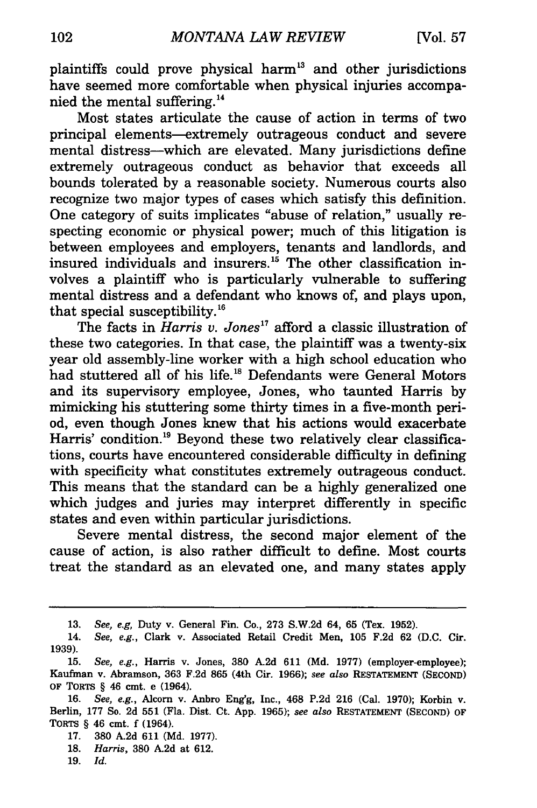plaintiffs could prove physical harm 13 and other jurisdictions have seemed more comfortable when physical injuries accompanied the mental suffering. 14

Most states articulate the cause of action in terms of two principal elements-extremely outrageous conduct and severe mental distress-which are elevated. Many jurisdictions define extremely outrageous conduct as behavior that exceeds all bounds tolerated by a reasonable society. Numerous courts also recognize two major types of cases which satisfy this definition. One category of suits implicates "abuse of relation," usually respecting economic or physical power; much of this litigation is between employees and employers, tenants and landlords, and insured individuals and insurers.<sup>15</sup> The other classification involves a plaintiff who is particularly vulnerable to suffering mental distress and a defendant who knows of, and plays upon, that special susceptibility. <sup>16</sup>

The facts in *Harris v. Jones*<sup>17</sup> afford a classic illustration of these two categories. In that case, the plaintiff was a twenty-six year old assembly-line worker with a high school education who had stuttered all of his life.<sup>18</sup> Defendants were General Motors and its supervisory employee, Jones, who taunted Harris by mimicking his stuttering some thirty times in a five-month period, even though Jones knew that his actions would exacerbate Harris' condition.<sup>19</sup> Beyond these two relatively clear classifications, courts have encountered considerable difficulty in defining with specificity what constitutes extremely outrageous conduct. This means that the standard can be a highly generalized one which judges and juries may interpret differently in specific states and even within particular jurisdictions.

Severe mental distress, the second major element of the cause of action, is also rather difficult to define. Most courts treat the standard as an elevated one, and many states apply

- 18. *Harris,* 380 A.2d at 612.
- 19. *Id.*

<sup>13.</sup> *See, e.g,* Duty v. General Fin. Co., 273 S.W.2d 64, 65 (Tex. 1952).

<sup>14.</sup> *See, e.g.,* Clark v. Associated Retail Credit Men, 105 F.2d 62 (D.C. Cir. 1939).

<sup>15.</sup> *See, e.g.,* Harris v. Jones, 380 A.2d 611 (Md. 1977) (employer-employee); Kaufman v. Abramson, 363 F.2d 865 (4th Cir. 1966); *see also* RESTATEMENT (SECOND) OF TORTS § 46 cmt. e (1964).

<sup>16.</sup> *See, e.g.,* Alcorn v. Anbro Eng'g, Inc., 468 P.2d 216 (Cal. 1970); Korbin v. Berlin, 177 So. 2d 551 (Fla. Dist. Ct. App. 1965); *see also* RESTATEMENT (SECOND) OF TORTS § 46 cmt. f (1964).

<sup>17. 380</sup> A.2d 611 (Md. 1977).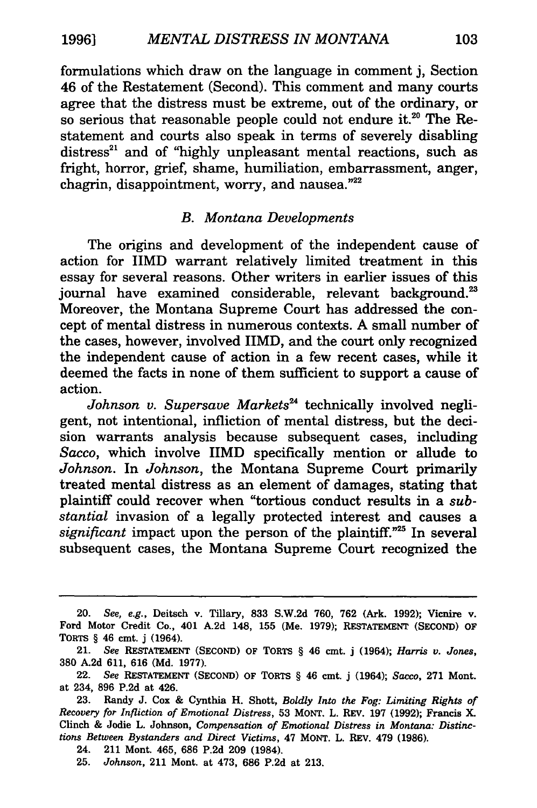formulations which draw on the language in comment j, Section 46 of the Restatement (Second). This comment and many courts agree that the distress must be extreme, out of the ordinary, or so serious that reasonable people could not endure it.<sup>20</sup> The Restatement and courts also speak in terms of severely disabling distress<sup>21</sup> and of "highly unpleasant mental reactions, such as fright, horror, grief, shame, humiliation, embarrassment, anger, chagrin, disappointment, worry, and nausea."22

#### *B. Montana Developments*

The origins and development of the independent cause of action for IIMD warrant relatively limited treatment in this essay for several reasons. Other writers in earlier issues of this journal have examined considerable, relevant background.<sup>23</sup> Moreover, the Montana Supreme Court has addressed the concept of mental distress in numerous contexts. A small number of the cases, however, involved IIMD, and the court only recognized the independent cause of action in a few recent cases, while it deemed the facts in none of them sufficient to support a cause of action.

Johnson v. Supersave Markets<sup>24</sup> technically involved negligent, not intentional, infliction of mental distress, but the decision warrants analysis because subsequent cases, including *Sacco,* which involve IIMD specifically mention or allude to *Johnson.* In *Johnson,* the Montana Supreme Court primarily treated mental distress as an element of damages, stating that plaintiff could recover when "tortious conduct results in a *substantial* invasion of a legally protected interest and causes a *significant* impact upon the person of the plaintiff."25 In several subsequent cases, the Montana Supreme Court recognized the

<sup>20.</sup> *See, e.g.,* Deitsch v. Tillary, 833 S.W.2d 760, 762 (Ark. 1992); Vicnire v. Ford Motor Credit Co., 401 A.2d 148, 155 (Me. 1979); RESTATEMENT (SECOND) OF TORTS § 46 cmt. j (1964).

<sup>21.</sup> *See* RESTATEMENT (SECOND) OF TORTS § 46 cmt. j (1964); *Harris v. Jones,*  380 A.2d 611, 616 (Md. 1977).

<sup>22.</sup> *See* RESTATEMENT (SECOND) OF TORTS § 46 cmt. j (1964); *Sacco,* 271 Mont. at 234, 896 P.2d at 426.

<sup>23.</sup> Randy J. Cox & Cynthia H. Shott, *Boldly Into the Fog: Limiting Rights of Recovery for lnfiiction of Emotional Distress,* 53 MONT. L. REV. 197 (1992); Francis X. Clinch & Jodie L. Johnson, *Compensation of Emotional Distress in Montana: Distinctions Between Bystanders and Direct Victims,* 47 MONT. L. REV. 479 (1986).

<sup>24. 211</sup> Mont. 465, 686 P.2d 209 (1984).

<sup>25.</sup> *Johnson,* 211 Mont. at 473, 686 P.2d at 213.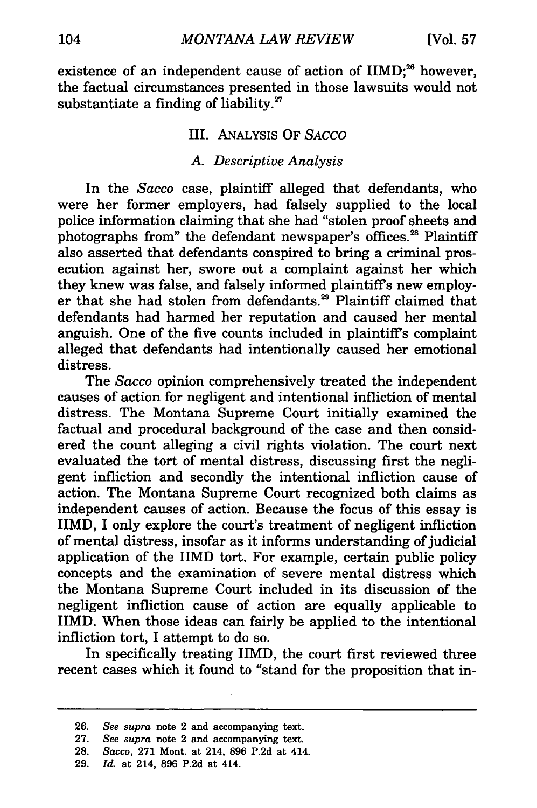existence of an independent cause of action of  $\text{HMD}$ ;<sup>26</sup> however, the factual circumstances presented in those lawsuits would not substantiate a finding of liability. $27$ 

#### Ill. ANALYSIS OF SACCO

#### A. *Descriptive Analysis*

In the *Sacco* case, plaintiff alleged that defendants, who were her former employers, had falsely supplied to the local police information claiming that she had "stolen proof sheets and photographs from" the defendant newspaper's offices.<sup>28</sup> Plaintiff also asserted that defendants conspired to bring a criminal prosecution against her, swore out a complaint against her which they knew was false, and falsely informed plaintiff's new employer that she had stolen from defendants.<sup>29</sup> Plaintiff claimed that defendants had harmed her reputation and caused her mental anguish. One of the five counts included in plaintiff's complaint alleged that defendants had intentionally caused her emotional distress.

The *Sacco* opinion comprehensively treated the independent causes of action for negligent and intentional infliction of mental distress. The Montana Supreme Court initially examined the factual and procedural background of the case and then considered the count alleging a civil rights violation. The court next evaluated the tort of mental distress, discussing first the negligent infliction and secondly the intentional infliction cause of action. The Montana Supreme Court recognized both claims as independent causes of action. Because the focus of this essay is IIMD, I only explore the court's treatment of negligent infliction of mental distress, insofar as it informs understanding of judicial application of the IIMD tort. For example, certain public policy concepts and the examination of severe mental distress which the Montana Supreme Court included in its discussion of the negligent infliction cause of action are equally applicable to IIMD. When those ideas can fairly be applied to the intentional infliction tort, I attempt to do so.

In specifically treating IIMD, the court first reviewed three recent cases which it found to "stand for the proposition that in-

<sup>26.</sup> *See supra* note 2 and accompanying text.

<sup>27.</sup> *See supra* note 2 and accompanying text.

<sup>28.</sup> *Sacco,* 271 Mont. at 214, 896 P.2d at 414.

<sup>29.</sup> *Id.* at 214, 896 P.2d at 414.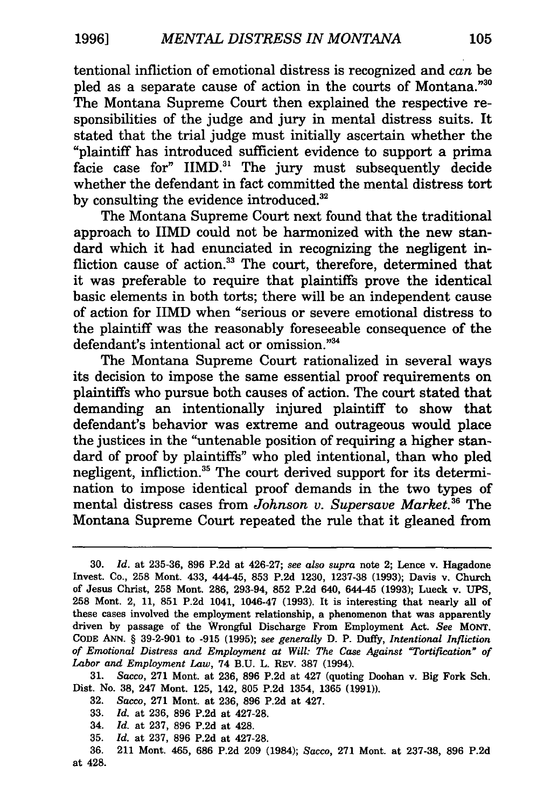tentional infliction of emotional distress is recognized and *can* be pled as a separate cause of action in the courts of Montana."30 The Montana Supreme Court then explained the respective responsibilities of the judge and jury in mental distress suits. It stated that the trial judge must initially ascertain whether the "plaintiff has introduced sufficient evidence to support a prima facie case for" IIMD.<sup>31</sup> The jury must subsequently decide whether the defendant in fact committed the mental distress tort by consulting the evidence introduced.<sup>32</sup>

The Montana Supreme Court next found that the traditional approach to IIMD could not be harmonized with the new standard which it had enunciated in recognizing the negligent infliction cause of action.<sup>33</sup> The court, therefore, determined that it was preferable to require that plaintiffs prove the identical basic elements in both torts; there will be an independent cause of action for IIMD when "serious or severe emotional distress to the plaintiff was the reasonably foreseeable consequence of the defendant's intentional act or omission."34

The Montana Supreme Court rationalized in several ways its decision to impose the same essential proof requirements on plaintiffs who pursue both causes of action. The court stated that demanding an intentionally injured plaintiff to show that defendant's behavior was extreme and outrageous would place the justices in the "untenable position of requiring a higher standard of proof by plaintiffs" who pled intentional, than who pied negligent, infliction.<sup>35</sup> The court derived support for its determination to impose identical proof demands in the two types of mental distress cases from *Johnson v. Supersave Market.* 36 The Montana Supreme Court repeated the rule that it gleaned from

31. *Sacco,* 271 Mont. at 236, 896 P.2d at 427 (quoting Doohan v. Big Fork Sch. Dist. No. 38, 247 Mont. 125, 142, 805 P.2d 1354, 1365 (1991)).

- 32. *Sacco,* 271 Mont. at 236, 896 P.2d at 427.
- 33. *Id.* at 236, 896 P.2d at 427-28.
- 34. *Id.* at 237, 896 P.2d at 428.
- 35. *Id.* at 237, 896 P.2d at 427-28.

36. 211 Mont. 465, 686 P.2d 209 (1984); *Sacco,* 271 Mont. at 237-38, 896 P.2d at 428.

<sup>30.</sup> *Id.* at 235-36, 896 P.2d at 426-27; *see also supra* note 2; Lenee v. Hagadone Invest. Co., 258 Mont. 433, 444-45, 853 P.2d 1230, 1237-38 (1993); Davis v. Church of Jesus Christ, 258 Mont. 286, 293-94, 852 P.2d 640, 644-45 (1993); Lueck v. UPS, 258 Mont. 2, 11, 851 P.2d 1041, 1046-47 (1993). It is interesting that nearly all of these cases involved the employment relationship, a phenomenon that was apparently driven by passage of the Wrongful Discharge From Employment Act. *See* MONT. CODE ANN. § 39-2-901 to -915 (1995); *see generally* D. P. Duffy, *Intentional Infliction of Emotional Distress and Employment at Will: The Case Against "Tortification" of Labor and Employment Law,* 74 B.U. L. REV. 387 (1994).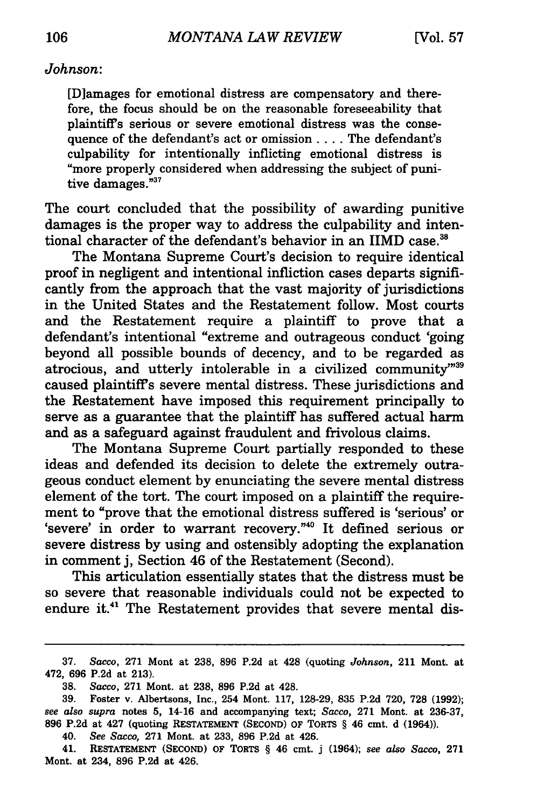#### *Johnson:*

[D]amages for emotional distress are compensatory and therefore, the focus should be on the reasonable foreseeability that plaintiffs serious or severe emotional distress was the consequence of the defendant's act or omission .... The defendant's culpability for intentionally inflicting emotional distress is "more properly considered when addressing the subject of punitive damages."<sup>37</sup>

The court concluded that the possibility of awarding punitive damages is the proper way to address the culpability and intentional character of the defendant's behavior in an IIMD case.<sup>38</sup>

The Montana Supreme Court's decision to require identical proof in negligent and intentional infliction cases departs significantly from the approach that the vast majority of jurisdictions in the United States and the Restatement follow. Most courts and the Restatement require a plaintiff to prove that a defendant's intentional "extreme and outrageous conduct 'going beyond all possible bounds of decency, and to be regarded as atrocious, and utterly intolerable in a civilized community"39 caused plaintiffs severe mental distress. These jurisdictions and the Restatement have imposed this requirement principally to serve as a guarantee that the plaintiff has suffered actual harm and as a safeguard against fraudulent and frivolous claims.

The Montana Supreme Court partially responded to these ideas and defended its decision to delete the extremely outrageous conduct element by enunciating the severe mental distress element of the tort. The court imposed on a plaintiff the requirement to "prove that the emotional distress suffered is 'serious' or 'severe' in order to warrant recovery."40 It defined serious or severe distress by using and ostensibly adopting the explanation in comment j, Section 46 of the Restatement (Second).

This articulation essentially states that the distress must be so severe that reasonable individuals could not be expected to endure it.<sup>41</sup> The Restatement provides that severe mental dis-

40. *See Sacco,* 271 Mont. at 233, 896 P.2d at 426.

41. RESTATEMENT (SECOND) OF TORTS § 46 cmt. j (1964); *see also Sacco,* 271 Mont. at 234, 896 P.2d at 426.

<sup>37.</sup> *Sacco,* 271 Mont at 238, 896 P.2d at 428 (quoting *Johnson,* 211 Mont. at 472, 696 P.2d at 213).

<sup>38.</sup> *Sacco,* 271 Mont. at 238, 896 P.2d at 428.

<sup>39.</sup> Foster v. Albertsons, Inc., 254 Mont. 117, 128-29, 835 P.2d 720, 728 (1992); *see also supra* notes 5, 14-16 and accompanying text; *Sacco,* 271 Mont. at 236-37, 896 P.2d at 427 (quoting RESTATEMENT (SECOND) OF TORTS § 46 cmt. d (1964)).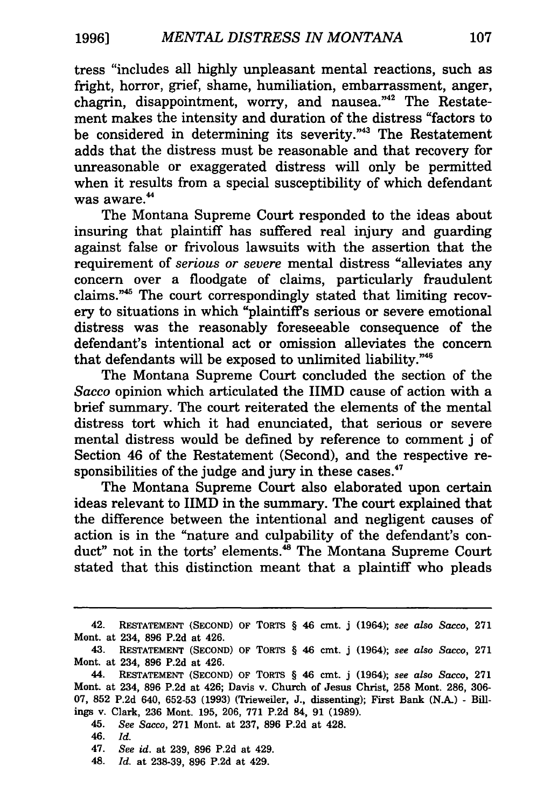tress "includes all highly unpleasant mental reactions, such as fright, horror, grief, shame, humiliation, embarrassment, anger, chagrin, disappointment, worry, and nausea."42 The Restatement makes the intensity and duration of the distress "factors to be considered in determining its severity."43 The Restatement adds that the distress must be reasonable and that recovery for unreasonable or exaggerated distress will only be permitted when it results from a special susceptibility of which defendant was aware.<sup>44</sup>

The Montana Supreme Court responded to the ideas about insuring that plaintiff has suffered real injury and guarding against false or frivolous lawsuits with the assertion that the requirement of *serious or severe* mental distress "alleviates any concern over a floodgate of claims, particularly fraudulent claims. " 45 The court correspondingly stated that limiting recovery to situations in which "plaintiff's serious or severe emotional distress was the reasonably foreseeable consequence of the defendant's intentional act or omission alleviates the concern that defendants will be exposed to unlimited liability."46

The Montana Supreme Court concluded the section of the *Sacco* opinion which articulated the IIMD cause of action with a brief summary. The court reiterated the elements of the mental distress tort which it had enunciated, that serious or severe mental distress would be defined by reference to comment j of Section 46 of the Restatement (Second), and the respective responsibilities of the judge and jury in these cases.<sup>47</sup>

The Montana Supreme Court also elaborated upon certain ideas relevant to IIMD in the summary. The court explained that the difference between the intentional and negligent causes of action is in the "nature and culpability of the defendant's conduct" not in the torts' elements.<sup>48</sup> The Montana Supreme Court stated that this distinction meant that a plaintiff who pleads

46. *Id.* 

48. *Id.* at 238-39, 896 P.2d at 429.

<sup>42.</sup> RESTATEMENT (SECOND) OF TORTS § 46 cmt. j (1964); *see also Sacco,* 271 Mont. at 234, 896 P.2d at 426.

<sup>43.</sup> RESTATEMENT (SECOND) OF TORTS § 46 cmt. j (1964); *see also Sacco,* 271 Mont. at 234, 896 P.2d at 426.

<sup>44.</sup> RESTATEMENT (SECOND) OF TORTS § 46 cmt. j (1964); *see also Sacco,* 271 Mont. at 234, 896 P.2d at 426; Davis v. Church of Jesus Christ, 258 Mont. 286, 306- 07, 852 P.2d 640, 652-53 (1993) (Trieweiler, J., dissenting); First Bank (N.A.) - Billings v. Clark, 236 Mont. 195, 206, 771 P.2d 84, 91 (1989).

<sup>45.</sup> *See Sacco,* 271 Mont. at 237, 896 P.2d at 428.

<sup>47.</sup> *See id.* at 239, 896 P.2d at 429.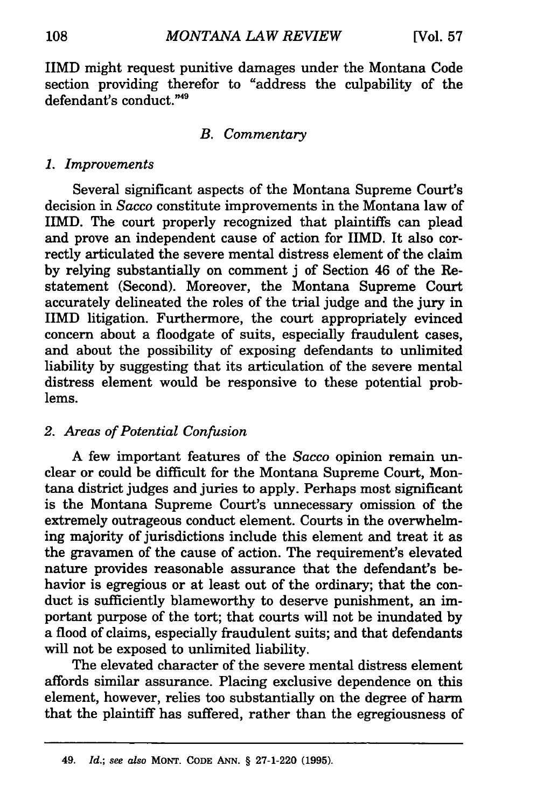IIMD might request punitive damages under the Montana Code section providing therefor to "address the culpability of the defendant's conduct."49

#### *B. Commentary*

#### 1. *Improvements*

Several significant aspects of the Montana Supreme Court's decision in *Sacco* constitute improvements in the Montana law of IIMD. The court properly recognized that plaintiffs can plead and prove an independent cause of action for IIMD. It also correctly articulated the severe mental distress element of the claim by relying substantially on comment j of Section 46 of the Restatement (Second). Moreover, the Montana Supreme Court accurately delineated the roles of the trial judge and the jury in IIMD litigation. Furthermore, the court appropriately evinced concern about a floodgate of suits, especially fraudulent cases, and about the possibility of exposing defendants to unlimited liability by suggesting that its articulation of the severe mental distress element would be responsive to these potential problems.

#### 2. *Areas of Potential Confusion*

A few important features of the *Sacco* opinion remain unclear or could be difficult for the Montana Supreme Court, Montana district judges and juries to apply. Perhaps most significant is the Montana Supreme Court's unnecessary omission of the extremely outrageous conduct element. Courts in the overwhelming majority of jurisdictions include this element and treat it as the gravamen of the cause of action. The requirement's elevated nature provides reasonable assurance that the defendant's behavior is egregious or at least out of the ordinary; that the conduct is sufficiently blameworthy to deserve punishment, an important purpose of the tort; that courts will not be inundated by a flood of claims, especially fraudulent suits; and that defendants will not be exposed to unlimited liability.

The elevated character of the severe mental distress element affords similar assurance. Placing exclusive dependence on this element, however, relies too substantially on the degree of harm that the plaintiff has suffered, rather than the egregiousness of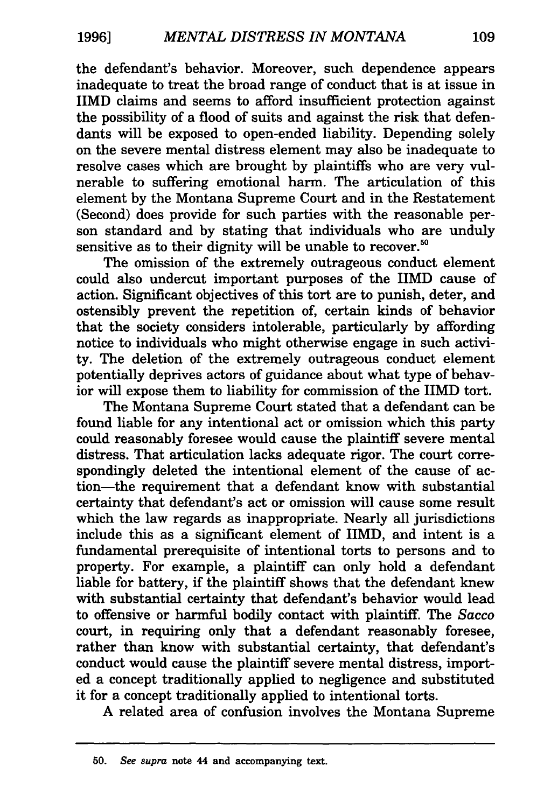the defendant's behavior. Moreover, such dependence appears inadequate to treat the broad range of conduct that is at issue in IIMD claims and seems to afford insufficient protection against the possibility of a flood of suits and against the risk that defendants will be exposed to open-ended liability. Depending solely on the severe mental distress element may also be inadequate to resolve cases which are brought by plaintiffs who are very vulnerable to suffering emotional harm. The articulation of this element by the Montana Supreme Court and in the Restatement (Second) does provide for such parties with the reasonable person standard and by stating that individuals who are unduly sensitive as to their dignity will be unable to recover.<sup>50</sup>

The omission of the extremely outrageous conduct element could also undercut important purposes of the IIMD cause of action. Significant objectives of this tort are to punish, deter, and ostensibly prevent the repetition of, certain kinds of behavior that the society considers intolerable, particularly by affording notice to individuals who might otherwise engage in such activity. The deletion of the extremely outrageous conduct element potentially deprives actors of guidance about what type of behavior will expose them to liability for commission of the IIMD tort.

The Montana Supreme Court stated that a defendant can be found liable for any intentional act or omission which this party could reasonably foresee would cause the plaintiff severe mental distress. That articulation lacks adequate rigor. The court correspondingly deleted the intentional element of the cause of action-the requirement that a defendant know with substantial certainty that defendant's act or omission will cause some result which the law regards as inappropriate. Nearly all jurisdictions include this as a significant element of IIMD, and intent is a fundamental prerequisite of intentional torts to persons and to property. For example, a plaintiff can only hold a defendant liable for battery, if the plaintiff shows that the defendant knew with substantial certainty that defendant's behavior would lead to offensive or harmful bodily contact with plaintiff. The *Sacco*  court, in requiring only that a defendant reasonably foresee, rather than know with substantial certainty, that defendant's conduct would cause the plaintiff severe mental distress, imported a concept traditionally applied to negligence and substituted it for a concept traditionally applied to intentional torts.

A related area of confusion involves the Montana Supreme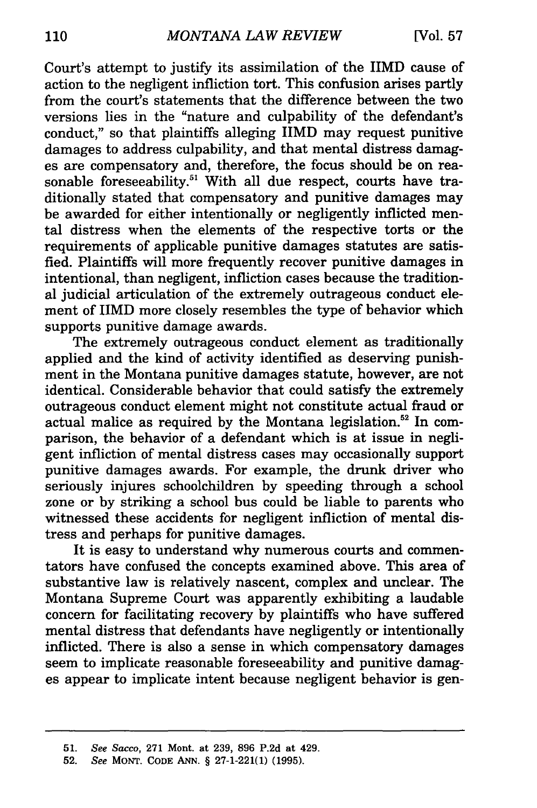Court's attempt to justify its assimilation of the IIMD cause of action to the negligent infliction tort. This confusion arises partly from the court's statements that the difference between the two versions lies in the "nature and culpability of the defendant's conduct," so that plaintiffs alleging IIMD may request punitive damages to address culpability, and that mental distress damages are compensatory and, therefore, the focus should be on reasonable foreseeability.<sup>51</sup> With all due respect, courts have traditionally stated that compensatory and punitive damages may be awarded for either intentionally or negligently inflicted mental distress when the elements of the respective torts or the requirements of applicable punitive damages statutes are satisfied. Plaintiffs will more frequently recover punitive damages in intentional, than negligent, infliction cases because the traditional judicial articulation of the extremely outrageous conduct element of IIMD more closely resembles the type of behavior which supports punitive damage awards.

The extremely outrageous conduct element as traditionally applied and the kind of activity identified as deserving punishment in the Montana punitive damages statute, however, are not identical. Considerable behavior that could satisfy the extremely outrageous conduct element might not constitute actual fraud or actual malice as required by the Montana legislation.<sup>52</sup> In comparison, the behavior of a defendant which is at issue in negligent infliction of mental distress cases may occasionally support punitive damages awards. For example, the drunk driver who seriously injures schoolchildren by speeding through a school zone or by striking a school bus could be liable to parents who witnessed these accidents for negligent infliction of mental distress and perhaps for punitive damages.

It is easy to understand why numerous courts and commentators have confused the concepts examined above. This area of substantive law is relatively nascent, complex and unclear. The Montana Supreme Court was apparently exhibiting a laudable concern for facilitating recovery by plaintiffs who have suffered mental distress that defendants have negligently or intentionally inflicted. There is also a sense in which compensatory damages seem to implicate reasonable foreseeability and punitive damages appear to implicate intent because negligent behavior is gen-

<sup>51.</sup> *See Sacco,* 271 Mont. at 239, 896 P.2d at 429.

<sup>52.</sup> *See* MONT. CODE ANN. § 27-1-221(1) (1995).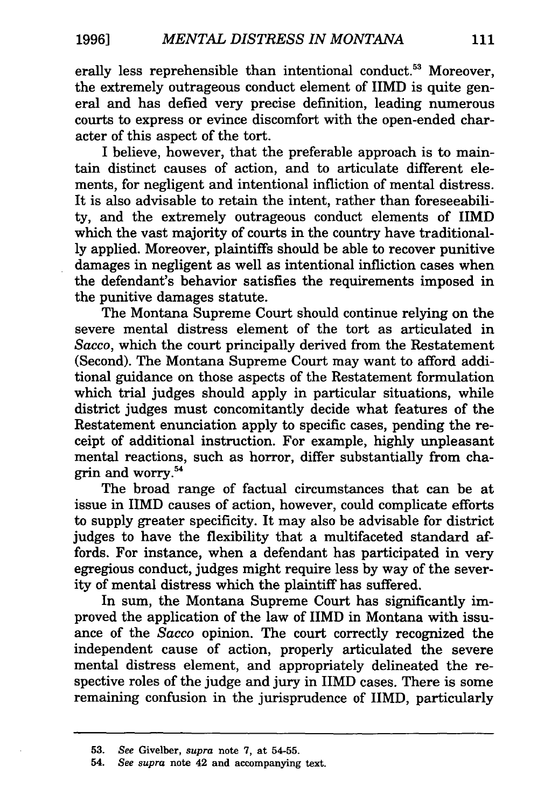erally less reprehensible than intentional conduct.<sup>53</sup> Moreover, the extremely outrageous conduct element of IIMD is quite general and has defied very precise definition, leading numerous courts to express or evince discomfort with the open-ended character of this aspect of the tort.

I believe, however, that the preferable approach is to maintain distinct causes of action, and to articulate different elements, for negligent and intentional infliction of mental distress. It is also advisable to retain the intent, rather than foreseeability, and the extremely outrageous conduct elements of IIMD which the vast majority of courts in the country have traditionally applied. Moreover, plaintiffs should be able to recover punitive damages in negligent as well as intentional infliction cases when the defendant's behavior satisfies the requirements imposed in the punitive damages statute.

The Montana Supreme Court should continue relying on the severe mental distress element of the tort as articulated in *Sacco,* which the court principally derived from the Restatement (Second). The Montana Supreme Court may want to afford additional guidance on those aspects of the Restatement formulation which trial judges should apply in particular situations, while district judges must concomitantly decide what features of the Restatement enunciation apply to specific cases, pending the receipt of additional instruction. For example, highly unpleasant mental reactions, such as horror, differ substantially from chagrin and worry. 54

The broad range of factual circumstances that can be at issue in IIMD causes of action, however, could complicate efforts to supply greater specificity. It may also be advisable for district judges to have the flexibility that a multifaceted standard affords. For instance, when a defendant has participated in very egregious conduct, judges might require less by way of the severity of mental distress which the plaintiff has suffered.

In sum, the Montana Supreme Court has significantly improved the application of the law of IIMD in Montana with issuance of the *Sacco* opinion. The court correctly recognized the independent cause of action, properly articulated the severe mental distress element, and appropriately delineated the respective roles of the judge and jury in IIMD cases. There is some remaining confusion in the jurisprudence of IIMD, particularly

<sup>53.</sup> *See* Givelber, *supra* note 7, at 54-55.

<sup>54.</sup> *See supra* note 42 and accompanying text.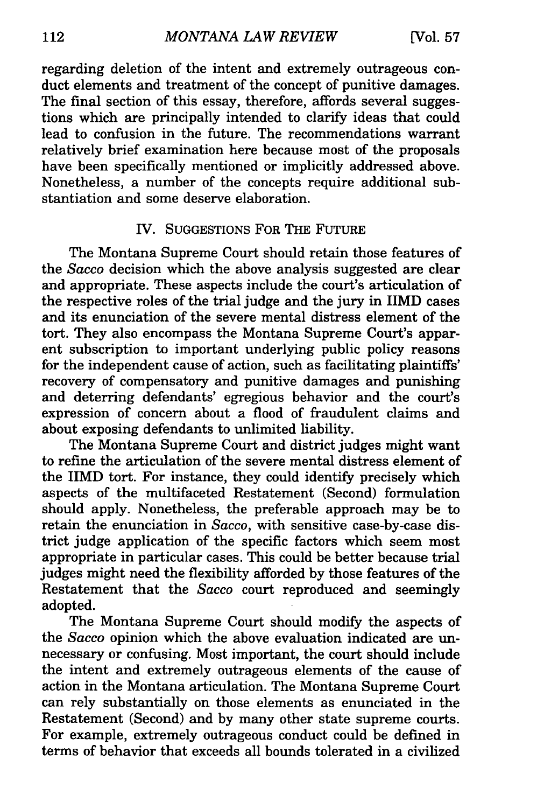regarding deletion of the intent and extremely outrageous conduct elements and treatment of the concept of punitive damages. The final section of this essay, therefore, affords several suggestions which are principally intended to clarify ideas that could lead to confusion in the future. The recommendations warrant relatively brief examination here because most of the proposals have been specifically mentioned or implicitly addressed above. Nonetheless, a number of the concepts require additional substantiation and some deserve elaboration.

#### IV. SUGGESTIONS FOR THE FUTURE

The Montana Supreme Court should retain those features of the *Sacco* decision which the above analysis suggested are clear and appropriate. These aspects include the court's articulation of the respective roles of the trial judge and the jury in IIMD cases and its enunciation of the severe mental distress element of the tort. They also encompass the Montana Supreme Court's apparent subscription to important underlying public policy reasons for the independent cause of action, such as facilitating plaintiffs' recovery of compensatory and punitive damages and punishing and deterring defendants' egregious behavior and the court's expression of concern about a flood of fraudulent claims and about exposing defendants to unlimited liability.

The Montana Supreme Court and district judges might want to refine the articulation of the severe mental distress element of the IIMD tort. For instance, they could identify precisely which aspects of the multifaceted Restatement (Second) formulation should apply. Nonetheless, the preferable approach may be to retain the enunciation in *Sacco,* with sensitive case-by-case district judge application of the specific factors which seem most appropriate in particular cases. This could be better because trial judges might need the flexibility afforded by those features of the Restatement that the *Sacco* court reproduced and seemingly adopted.

The Montana Supreme Court should modify the aspects of the *Sacco* opinion which the above evaluation indicated are unnecessary or confusing. Most important, the court should include the intent and extremely outrageous elements of the cause of action in the Montana articulation. The Montana Supreme Court can rely substantially on those elements as enunciated in the Restatement (Second) and by many other state supreme courts. For example, extremely outrageous conduct could be defined in terms of behavior that exceeds all bounds tolerated in a civilized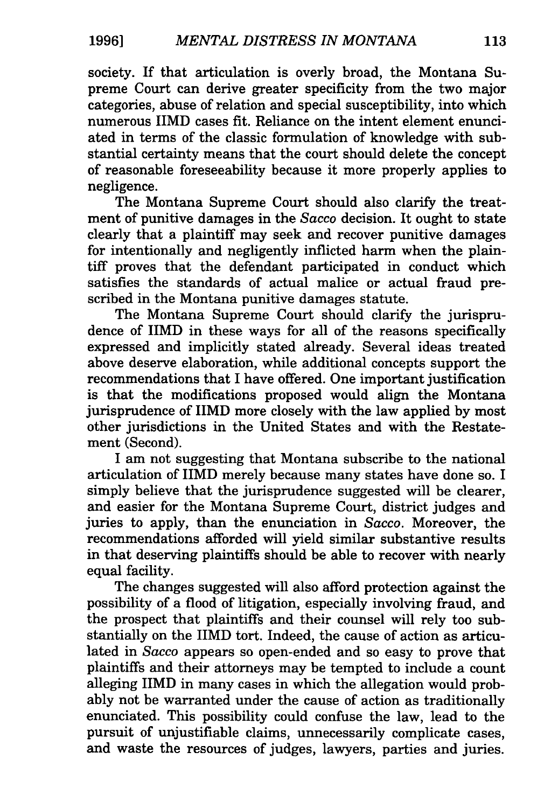society. If that articulation is overly broad, the Montana Supreme Court can derive greater specificity from the two major categories, abuse of relation and special susceptibility, into which numerous IIMD cases fit. Reliance on the intent element enunciated in terms of the classic formulation of knowledge with substantial certainty means that the court should delete the concept of reasonable foreseeability because it more properly applies to negligence.

The Montana Supreme Court should also clarify the treatment of punitive damages in the *Sacco* decision. It ought to state clearly that a plaintiff may seek and recover punitive damages for intentionally and negligently inflicted harm when the plaintiff proves that the defendant participated in conduct which satisfies the standards of actual malice or actual fraud prescribed in the Montana punitive damages statute.

The Montana Supreme Court should clarify the jurisprudence of IIMD in these ways for all of the reasons specifically expressed and implicitly stated already. Several ideas treated above deserve elaboration, while additional concepts support the recommendations that I have offered. One important justification is that the modifications proposed would align the Montana jurisprudence of IIMD more closely with the law applied by most other jurisdictions in the United States and with the Restatement (Second).

I am not suggesting that Montana subscribe to the national articulation of IIMD merely because many states have done so. I simply believe that the jurisprudence suggested will be clearer, and easier for the Montana Supreme Court, district judges and juries to apply, than the enunciation in *Sacco.* Moreover, the recommendations afforded will yield similar substantive results in that deserving plaintiffs should be able to recover with nearly equal facility.

The changes suggested will also afford protection against the possibility of a flood of litigation, especially involving fraud, and the prospect that plaintiffs and their counsel will rely too substantially on the IIMD tort. Indeed, the cause of action as articulated in *Sacco* appears so open-ended and so easy to prove that plaintiffs and their attorneys may be tempted to include a count alleging IIMD in many cases in which the allegation would probably not be warranted under the cause of action as traditionally enunciated. This possibility could confuse the law, lead to the pursuit of unjustifiable claims, unnecessarily complicate cases, and waste the resources of judges, lawyers, parties and juries.